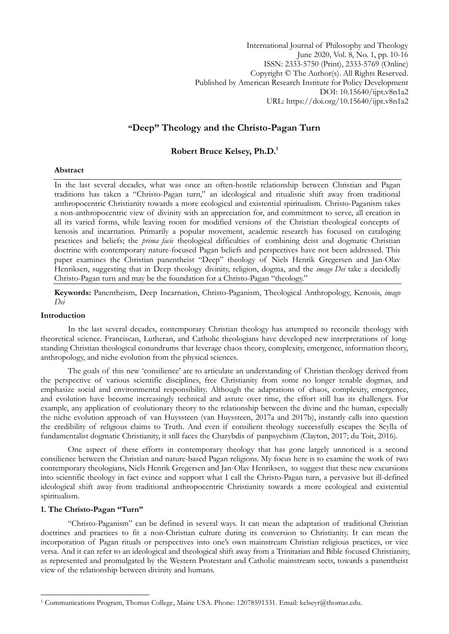International Journal of Philosophy and Theology June 2020, Vol. 8, No. 1, pp. 10-16 ISSN: 2333-5750 (Print), 2333-5769 (Online) Copyright © The Author(s). All Rights Reserved. Published by American Research Institute for Policy Development DOI: 10.15640/ijpt.v8n1a2 URL: https://doi.org/10.15640/ijpt.v8n1a2

# **"Deep" Theology and the Christo-Pagan Turn**

# **Robert Bruce Kelsey, Ph.D.<sup>1</sup>**

## **Abstract**

In the last several decades, what was once an often-hostile relationship between Christian and Pagan traditions has taken a "Christo-Pagan turn," an ideological and ritualistic shift away from traditional anthropocentric Christianity towards a more ecological and existential spiritualism. Christo-Paganism takes a non-anthropocentric view of divinity with an appreciation for, and commitment to serve, all creation in all its varied forms, while leaving room for modified versions of the Christian theological concepts of kenosis and incarnation. Primarily a popular movement, academic research has focused on cataloging practices and beliefs; the *prima facie* theological difficulties of combining deist and dogmatic Christian doctrine with contemporary nature-focused Pagan beliefs and perspectives have not been addressed. This paper examines the Christian panentheist "Deep" theology of Niels Henrik Gregersen and Jan-Olav Henriksen, suggesting that in Deep theology divinity, religion, dogma, and the *imago Dei* take a decidedly Christo-Pagan turn and may be the foundation for a Christo-Pagan "theology."

**Keywords:** Panentheism, Deep Incarnation, Christo-Paganism, Theological Anthropology, Kenosis, *imago Dei*

## **Introduction**

In the last several decades, contemporary Christian theology has attempted to reconcile theology with theoretical science. Franciscan, Lutheran, and Catholic theologians have developed new interpretations of longstanding Christian theological conundrums that leverage chaos theory, complexity, emergence, information theory, anthropology, and niche evolution from the physical sciences.

The goals of this new "consilience" are to articulate an understanding of Christian theology derived from the perspective of various scientific disciplines, free Christianity from some no longer tenable dogmas, and emphasize social and environmental responsibility. Although the adaptations of chaos, complexity, emergence, and evolution have become increasingly technical and astute over time, the effort still has its challenges. For example, any application of evolutionary theory to the relationship between the divine and the human, especially the niche evolution approach of van Huyssteen (van Huyssteen, 2017a and 2017b), instantly calls into question the credibility of religious claims to Truth. And even if consilient theology successfully escapes the Scylla of fundamentalist dogmatic Christianity, it still faces the Charybdis of panpsychism (Clayton, 2017; du Toit, 2016).

One aspect of these efforts in contemporary theology that has gone largely unnoticed is a second consilience between the Christian and nature-based Pagan religions. My focus here is to examine the work of two contemporary theologians, Niels Henrik Gregersen and Jan-Olav Henriksen, to suggest that these new excursions into scientific theology in fact evince and support what I call the Christo-Pagan turn, a pervasive but ill-defined ideological shift away from traditional anthropocentric Christianity towards a more ecological and existential spiritualism.

#### **1. The Christo-Pagan "Turn"**

1

"Christo-Paganism" can be defined in several ways. It can mean the adaptation of traditional Christian doctrines and practices to fit a non-Christian culture during its conversion to Christianity. It can mean the incorporation of Pagan rituals or perspectives into one's own mainstream Christian religious practices, or vice versa. And it can refer to an ideological and theological shift away from a Trinitarian and Bible focused Christianity, as represented and promulgated by the Western Protestant and Catholic mainstream sects, towards a panentheist view of the relationship between divinity and humans.

<sup>1</sup> Communications Program, Thomas College, Maine USA. Phone: 12078591331. Email: kelseyr@thomas.edu.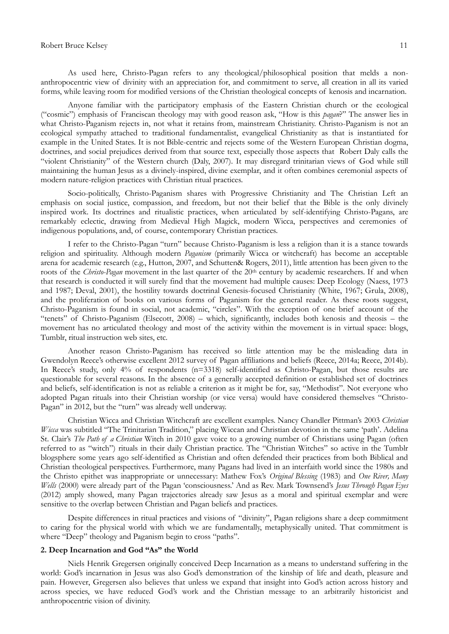#### Robert Bruce Kelsey 11

As used here, Christo-Pagan refers to any theological/philosophical position that melds a nonanthropocentric view of divinity with an appreciation for, and commitment to serve, all creation in all its varied forms, while leaving room for modified versions of the Christian theological concepts of kenosis and incarnation.

Anyone familiar with the participatory emphasis of the Eastern Christian church or the ecological ("cosmic") emphasis of Franciscan theology may with good reason ask, "How is this *pagan*?" The answer lies in what Christo-Paganism rejects in, not what it retains from, mainstream Christianity. Christo-Paganism is not an ecological sympathy attached to traditional fundamentalist, evangelical Christianity as that is instantiated for example in the United States. It is not Bible-centric and rejects some of the Western European Christian dogma, doctrines, and social prejudices derived from that source text, especially those aspects that Robert Daly calls the "violent Christianity" of the Western church (Daly, 2007). It may disregard trinitarian views of God while still maintaining the human Jesus as a divinely-inspired, divine exemplar, and it often combines ceremonial aspects of modern nature-religion practices with Christian ritual practices.

Socio-politically, Christo-Paganism shares with Progressive Christianity and The Christian Left an emphasis on social justice, compassion, and freedom, but not their belief that the Bible is the only divinely inspired work. Its doctrines and ritualistic practices, when articulated by self-identifying Christo-Pagans, are remarkably eclectic, drawing from Medieval High Magick, modern Wicca, perspectives and ceremonies of indigenous populations, and, of course, contemporary Christian practices.

I refer to the Christo-Pagan "turn" because Christo-Paganism is less a religion than it is a stance towards religion and spirituality. Although modern *Paganism* (primarily Wicca or witchcraft) has become an acceptable arena for academic research (e.g., Hutton, 2007, and Schutten& Rogers, 2011), little attention has been given to the roots of the *Christo-Pagan* movement in the last quarter of the 20th century by academic researchers. If and when that research is conducted it will surely find that the movement had multiple causes: Deep Ecology (Naess, 1973 and 1987; Deval, 2001), the hostility towards doctrinal Genesis-focused Christianity (White, 1967; Grula, 2008), and the proliferation of books on various forms of Paganism for the general reader. As these roots suggest, Christo-Paganism is found in social, not academic, "circles". With the exception of one brief account of the "tenets" of Christo-Paganism (Elsecott, 2008) – which, significantly, includes both kenosis and theosis – the movement has no articulated theology and most of the activity within the movement is in virtual space: blogs, Tumblr, ritual instruction web sites, etc.

Another reason Christo-Paganism has received so little attention may be the misleading data in Gwendolyn Reece's otherwise excellent 2012 survey of Pagan affiliations and beliefs (Reece, 2014a; Reece, 2014b). In Reece's study, only 4% of respondents (n=3318) self-identified as Christo-Pagan, but those results are questionable for several reasons. In the absence of a generally accepted definition or established set of doctrines and beliefs, self-identification is not as reliable a criterion as it might be for, say, "Methodist". Not everyone who adopted Pagan rituals into their Christian worship (or vice versa) would have considered themselves "Christo-Pagan" in 2012, but the "turn" was already well underway.

Christian Wicca and Christian Witchcraft are excellent examples. Nancy Chandler Pittman"s 2003 *Christian Wicca* was subtitled "The Trinitarian Tradition," placing Wiccan and Christian devotion in the same "path". Adelina St. Clair"s *The Path of a Christian* Witch in 2010 gave voice to a growing number of Christians using Pagan (often referred to as "witch") rituals in their daily Christian practice. The "Christian Witches" so active in the Tumblr blogsphere some years ago self-identified as Christian and often defended their practices from both Biblical and Christian theological perspectives. Furthermore, many Pagans had lived in an interfaith world since the 1980s and the Christo epithet was inappropriate or unnecessary: Mathew Fox"s *Original Blessing* (1983) and *One River, Many Wells* (2000) were already part of the Pagan "consciousness." And as Rev. Mark Townsend"s *Jesus Through Pagan Eyes*  (2012) amply showed, many Pagan trajectories already saw Jesus as a moral and spiritual exemplar and were sensitive to the overlap between Christian and Pagan beliefs and practices.

Despite differences in ritual practices and visions of "divinity", Pagan religions share a deep commitment to caring for the physical world with which we are fundamentally, metaphysically united. That commitment is where "Deep" theology and Paganism begin to cross "paths".

## **2. Deep Incarnation and God "As" the World**

Niels Henrik Gregersen originally conceived Deep Incarnation as a means to understand suffering in the world: God's incarnation in Jesus was also God's demonstration of the kinship of life and death, pleasure and pain. However, Gregersen also believes that unless we expand that insight into God"s action across history and across species, we have reduced God's work and the Christian message to an arbitrarily historicist and anthropocentric vision of divinity.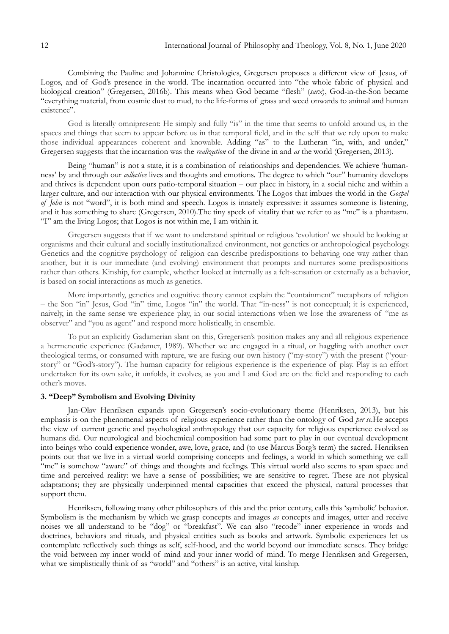Combining the Pauline and Johannine Christologies, Gregersen proposes a different view of Jesus, of Logos, and of God's presence in the world. The incarnation occurred into "the whole fabric of physical and biological creation" (Gregersen, 2016b). This means when God became "flesh" (*sarx*), God-in-the-Son became "everything material, from cosmic dust to mud, to the life-forms of grass and weed onwards to animal and human existence".

God is literally omnipresent: He simply and fully "is" in the time that seems to unfold around us, in the spaces and things that seem to appear before us in that temporal field, and in the self that we rely upon to make those individual appearances coherent and knowable. Adding "as" to the Lutheran "in, with, and under," Gregersen suggests that the incarnation was the *realization* of the divine in and *as* the world (Gregersen, 2013).

Being "human" is not a state, it is a combination of relationships and dependencies. We achieve "humanness" by and through our *collective* lives and thoughts and emotions. The degree to which "our" humanity develops and thrives is dependent upon ours patio-temporal situation – our place in history, in a social niche and within a larger culture, and our interaction with our physical environments. The Logos that imbues the world in the *Gospel of John* is not "word", it is both mind and speech. Logos is innately expressive: it assumes someone is listening, and it has something to share (Gregersen, 2010).The tiny speck of vitality that we refer to as "me" is a phantasm. "I" am the living Logos; that Logos is not within me, I am within it.

Gregersen suggests that if we want to understand spiritual or religious "evolution" we should be looking at organisms and their cultural and socially institutionalized environment, not genetics or anthropological psychology. Genetics and the cognitive psychology of religion can describe predispositions to behaving one way rather than another, but it is our immediate (and evolving) environment that prompts and nurtures some predispositions rather than others. Kinship, for example, whether looked at internally as a felt-sensation or externally as a behavior, is based on social interactions as much as genetics.

More importantly, genetics and cognitive theory cannot explain the "containment" metaphors of religion – the Son "in" Jesus, God "in" time, Logos "in" the world. That "in-ness" is not conceptual; it is experienced, naively, in the same sense we experience play, in our social interactions when we lose the awareness of "me as observer" and "you as agent" and respond more holistically, in ensemble.

To put an explicitly Gadamerian slant on this, Gregersen's position makes any and all religious experience a hermeneutic experience (Gadamer, 1989). Whether we are engaged in a ritual, or haggling with another over theological terms, or consumed with rapture, we are fusing our own history ("my-story") with the present ("yourstory" or "God's-story"). The human capacity for religious experience is the experience of play. Play is an effort undertaken for its own sake, it unfolds, it evolves, as you and I and God are on the field and responding to each other's moves.

## **3. "Deep" Symbolism and Evolving Divinity**

Jan-Olav Henriksen expands upon Gregersen"s socio-evolutionary theme (Henriksen, 2013), but his emphasis is on the phenomenal aspects of religious experience rather than the ontology of God *per se.*He accepts the view of current genetic and psychological anthropology that our capacity for religious experience evolved as humans did. Our neurological and biochemical composition had some part to play in our eventual development into beings who could experience wonder, awe, love, grace, and (to use Marcus Borg's term) the sacred. Henriksen points out that we live in a virtual world comprising concepts and feelings, a world in which something we call "me" is somehow "aware" of things and thoughts and feelings. This virtual world also seems to span space and time and perceived reality: we have a sense of possibilities; we are sensitive to regret. These are not physical adaptations; they are physically underpinned mental capacities that exceed the physical, natural processes that support them.

Henriksen, following many other philosophers of this and the prior century, calls this "symbolic" behavior. Symbolism is the mechanism by which we grasp concepts and images *as* concepts and images, utter and receive noises we all understand to be "dog" or "breakfast". We can also "recode" inner experience in words and doctrines, behaviors and rituals, and physical entities such as books and artwork. Symbolic experiences let us contemplate reflectively such things as self, self-hood, and the world beyond our immediate senses. They bridge the void between my inner world of mind and your inner world of mind. To merge Henriksen and Gregersen, what we simplistically think of as "world" and "others" is an active, vital kinship.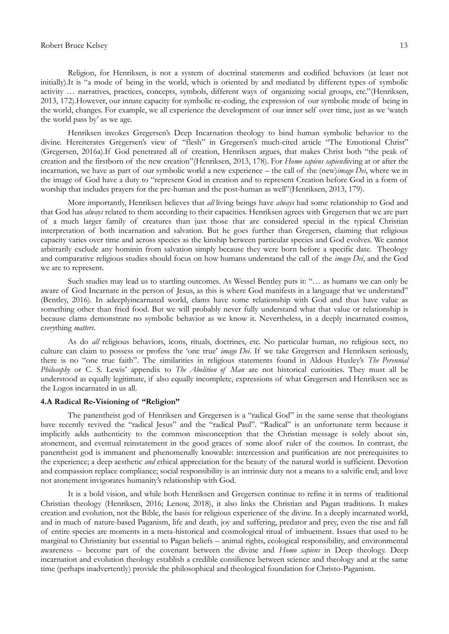#### Robert Bruce Kelsey 13

Religion, for Henriksen, is not a system of doctrinal statements and codified behaviors (at least not initially).It is "a mode of being in the world, which is oriented by and mediated by different types of symbolic activity … narratives, practices, concepts, symbols, different ways of organizing social groups, etc."(Henriksen, 2013, 172).However, our innate capacity for symbolic re-coding, the expression of our symbolic mode of being in the world, changes. For example, we all experience the development of our inner self over time, just as we "watch the world pass by' as we age.

Henriksen invokes Gregersen"s Deep Incarnation theology to bind human symbolic behavior to the divine. Hereiterates Gregersen's view of "flesh" in Gregersen's much-cited article "The Emotional Christ" (Gregersen, 2016a).If God penetrated all of creation, Henriksen argues, that makes Christ both "the peak of creation and the firstborn of the new creation"(Henriksen, 2013, 178). For *Homo sapiens sapiens*living at or after the incarnation, we have as part of our symbolic world a new experience – the call of the (new)*imago Dei*, where we in the image of God have a duty to "represent God in creation and to represent Creation before God in a form of worship that includes prayers for the pre-human and the post-human as well"(Henriksen, 2013, 179).

More importantly, Henriksen believes that *all* living beings have *always* had some relationship to God and that God has *always* related to them according to their capacities. Henriksen agrees with Gregersen that we are part of a much larger family of creatures than just those that are considered special in the typical Christian interpretation of both incarnation and salvation. But he goes further than Gregersen, claiming that religious capacity varies over time and across species as the kinship between particular species and God evolves. We cannot arbitrarily exclude any hominin from salvation simply because they were born before a specific date. Theology and comparative religious studies should focus on how humans understand the call of the *imago Dei*, and the God we are to represent.

Such studies may lead us to startling outcomes. As Wessel Bentley puts it: "… as humans we can only be aware of God Incarnate in the person of Jesus, as this is where God manifests in a language that we understand" (Bentley, 2016). In adeeplyincarnated world, clams have some relationship with God and thus have value as something other than fried food. But we will probably never fully understand what that value or relationship is because clams demonstrate no symbolic behavior as we know it. Nevertheless, in a deeply incarnated cosmos, e*very*thing *matters*.

As do *all* religious behaviors, icons, rituals, doctrines, etc. No particular human, no religious sect, no culture can claim to possess or profess the "one true" *imago Dei*. If we take Gregersen and Henriksen seriously, there is no "one true faith". The similarities in religious statements found in Aldous Huxley's *The Perennial Philosophy* or C. S. Lewis" appendix to *The Abolition of Man* are not historical curiosities. They must all be understood as equally legitimate, if also equally incomplete, expressions of what Gregersen and Henriksen see as the Logos incarnated in us all.

### **4.A Radical Re-Visioning of "Religion"**

The panentheist god of Henriksen and Gregersen is a "radical God" in the same sense that theologians have recently revived the "radical Jesus" and the "radical Paul". "Radical" is an unfortunate term because it implicitly adds authenticity to the common misconception that the Christian message is solely about sin, atonement, and eventual reinstatement in the good graces of some aloof ruler of the cosmos. In contrast, the panentheist god is immanent and phenomenally knowable: intercession and purification are not prerequisites to the experience; a deep aesthetic *and* ethical appreciation for the beauty of the natural world is sufficient. Devotion and compassion replace compliance; social responsibility is an intrinsic duty not a means to a salvific end; and love not atonement invigorates humanity's relationship with God.

It is a bold vision, and while both Henriksen and Gregersen continue to refine it in terms of traditional Christian theology (Henriksen, 2016; Lenow, 2018), it also links the Christian and Pagan traditions. It makes creation and evolution, not the Bible, the basis for religious experience of the divine. In a deeply incarnated world, and in much of nature-based Paganism, life and death, joy and suffering, predator and prey, even the rise and fall of entire species are moments in a meta-historical and cosmological ritual of imbuement. Issues that used to be marginal to Christianity but essential to Pagan beliefs – animal rights, ecological responsibility, and environmental awareness – become part of the covenant between the divine and *Homo sapiens* in Deep theology. Deep incarnation and evolution theology establish a credible consilience between science and theology and at the same time (perhaps inadvertently) provide the philosophical and theological foundation for Christo-Paganism.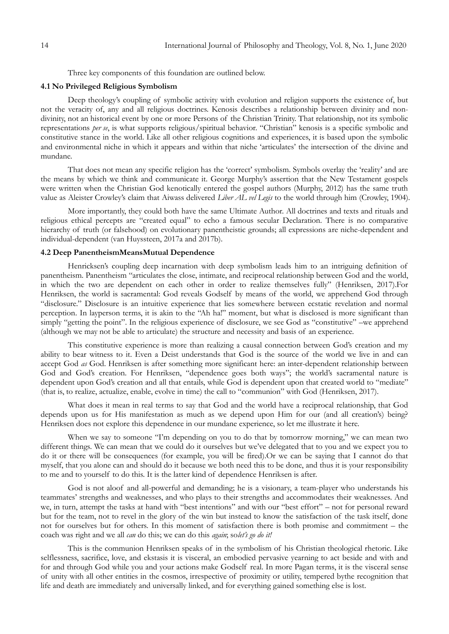Three key components of this foundation are outlined below.

#### **4.1 No Privileged Religious Symbolism**

Deep theology's coupling of symbolic activity with evolution and religion supports the existence of, but not the veracity of, any and all religious doctrines. Kenosis describes a relationship between divinity and nondivinity, not an historical event by one or more Persons of the Christian Trinity. That relationship, not its symbolic representations *per se*, is what supports religious/spiritual behavior. "Christian" kenosis is a specific symbolic and constitutive stance in the world. Like all other religious cognitions and experiences, it is based upon the symbolic and environmental niche in which it appears and within that niche 'articulates' the intersection of the divine and mundane.

That does not mean any specific religion has the 'correct' symbolism. Symbols overlay the 'reality' and are the means by which we think and communicate it. George Murphy"s assertion that the New Testament gospels were written when the Christian God kenotically entered the gospel authors (Murphy, 2012) has the same truth value as Aleister Crowley"s claim that Aiwass delivered *Liber AL vel Legis* to the world through him (Crowley, 1904).

More importantly, they could both have the same Ultimate Author. All doctrines and texts and rituals and religious ethical percepts are "created equal" to echo a famous secular Declaration. There is no comparative hierarchy of truth (or falsehood) on evolutionary panentheistic grounds; all expressions are niche-dependent and individual-dependent (van Huyssteen, 2017a and 2017b).

## **4.2 Deep PanentheismMeansMutual Dependence**

Henricksen"s coupling deep incarnation with deep symbolism leads him to an intriguing definition of panentheism. Panentheism "articulates the close, intimate, and reciprocal relationship between God and the world, in which the two are dependent on each other in order to realize themselves fully" (Henriksen, 2017).For Henriksen, the world is sacramental: God reveals Godself by means of the world, we apprehend God through "disclosure." Disclosure is an intuitive experience that lies somewhere between ecstatic revelation and normal perception. In layperson terms, it is akin to the "Ah ha!" moment, but what is disclosed is more significant than simply "getting the point". In the religious experience of disclosure, we see God as "constitutive" –we apprehend (although we may not be able to articulate) the structure and necessity and basis of an experience.

This constitutive experience is more than realizing a causal connection between God's creation and my ability to bear witness to it. Even a Deist understands that God is the source of the world we live in and can accept God *as* God. Henriksen is after something more significant here: an inter-dependent relationship between God and God's creation. For Henriksen, "dependence goes both ways"; the world's sacramental nature is dependent upon God's creation and all that entails, while God is dependent upon that created world to "mediate" (that is, to realize, actualize, enable, evolve in time) the call to "communion" with God (Henriksen, 2017).

What does it mean in real terms to say that God and the world have a reciprocal relationship, that God depends upon us for His manifestation as much as we depend upon Him for our (and all creation's) being? Henriksen does not explore this dependence in our mundane experience, so let me illustrate it here.

When we say to someone "I'm depending on you to do that by tomorrow morning," we can mean two different things. We can mean that we could do it ourselves but we"ve delegated that to you and we expect you to do it or there will be consequences (for example, you will be fired).Or we can be saying that I cannot do that myself, that you alone can and should do it because we both need this to be done, and thus it is your responsibility to me and to yourself to do this. It is the latter kind of dependence Henriksen is after.

God is not aloof and all-powerful and demanding; he is a visionary, a team-player who understands his teammates" strengths and weaknesses, and who plays to their strengths and accommodates their weaknesses. And we, in turn, attempt the tasks at hand with "best intentions" and with our "best effort" – not for personal reward but for the team, not to revel in the glory of the win but instead to know the satisfaction of the task itself, done not for ourselves but for others. In this moment of satisfaction there is both promise and commitment – the coach was right and we all *can* do this; we can do this *again*; so*let's go do it!* 

This is the communion Henriksen speaks of in the symbolism of his Christian theological rhetoric. Like selflessness, sacrifice, love, and ekstasis it is visceral, an embodied pervasive yearning to act beside and with and for and through God while you and your actions make Godself real. In more Pagan terms, it is the visceral sense of unity with all other entities in the cosmos, irrespective of proximity or utility, tempered bythe recognition that life and death are immediately and universally linked, and for everything gained something else is lost.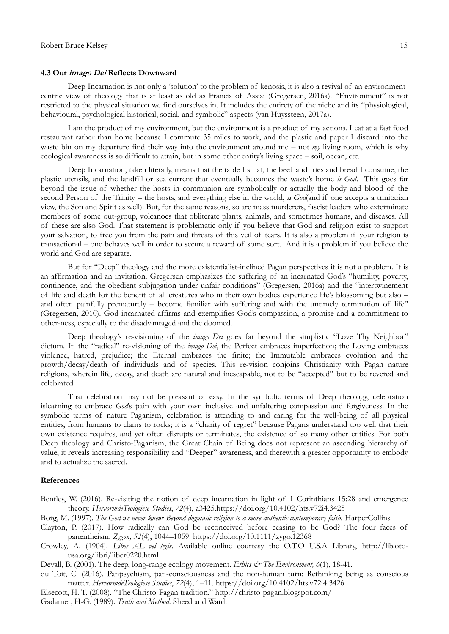#### **4.3 Our imago Dei Reflects Downward**

Deep Incarnation is not only a "solution" to the problem of kenosis, it is also a revival of an environmentcentric view of theology that is at least as old as Francis of Assisi (Gregersen, 2016a). "Environment" is not restricted to the physical situation we find ourselves in. It includes the entirety of the niche and its "physiological, behavioural, psychological historical, social, and symbolic" aspects (van Huyssteen, 2017a).

I am the product of my environment, but the environment is a product of my actions. I eat at a fast food restaurant rather than home because I commute 35 miles to work, and the plastic and paper I discard into the waste bin on my departure find their way into the environment around me – not *my* living room, which is why ecological awareness is so difficult to attain, but in some other entity"s living space – soil, ocean, etc.

Deep Incarnation, taken literally, means that the table I sit at, the beef and fries and bread I consume, the plastic utensils, and the landfill or sea current that eventually becomes the waste"s home *is God*. This goes far beyond the issue of whether the hosts in communion are symbolically or actually the body and blood of the second Person of the Trinity – the hosts, and everything else in the world, *is God*(and if one accepts a trinitarian view, the Son and Spirit as well). But, for the same reasons, so are mass murderers, fascist leaders who exterminate members of some out-group, volcanoes that obliterate plants, animals, and sometimes humans, and diseases. All of these are also God. That statement is problematic only if you believe that God and religion exist to support your salvation, to free you from the pain and threats of this veil of tears. It is also a problem if your religion is transactional – one behaves well in order to secure a reward of some sort. And it is a problem if you believe the world and God are separate.

But for "Deep" theology and the more existentialist-inclined Pagan perspectives it is not a problem. It is an affirmation and an invitation. Gregersen emphasizes the suffering of an incarnated God"s "humility, poverty, continence, and the obedient subjugation under unfair conditions" (Gregersen, 2016a) and the "intertwinement of life and death for the benefit of all creatures who in their own bodies experience life's blossoming but also – and often painfully prematurely – become familiar with suffering and with the untimely termination of life" (Gregersen, 2010). God incarnated affirms and exemplifies God"s compassion, a promise and a commitment to other-ness, especially to the disadvantaged and the doomed.

Deep theology's re-visioning of the *imago Dei* goes far beyond the simplistic "Love Thy Neighbor" dictum. In the "radical" re-visioning of the *imago Dei*, the Perfect embraces imperfection; the Loving embraces violence, hatred, prejudice; the Eternal embraces the finite; the Immutable embraces evolution and the growth/decay/death of individuals and of species. This re-vision conjoins Christianity with Pagan nature religions, wherein life, decay, and death are natural and inescapable, not to be "accepted" but to be revered and celebrated.

That celebration may not be pleasant or easy. In the symbolic terms of Deep theology, celebration islearning to embrace *God's* pain with your own inclusive and unfaltering compassion and forgiveness. In the symbolic terms of nature Paganism, celebration is attending to and caring for the well-being of all physical entities, from humans to clams to rocks; it is a "charity of regret" because Pagans understand too well that their own existence requires, and yet often disrupts or terminates, the existence of so many other entities. For both Deep theology and Christo-Paganism, the Great Chain of Being does not represent an ascending hierarchy of value, it reveals increasing responsibility and "Deeper" awareness, and therewith a greater opportunity to embody and to actualize the sacred.

## **References**

Bentley, W. (2016). Re-visiting the notion of deep incarnation in light of 1 Corinthians 15:28 and emergence theory. *HervormdeTeologiese Studies*, *72*(4), a3425[.https://doi.org/10.4102/hts.v72i4.3425](https://doi.org/10.4102/hts.v72i4.3425)

Borg, M. (1997). *The God we never knew: Beyond dogmatic religion to a more authentic contemporary faith.* HarperCollins.

- Clayton, P. (2017). How radically can God be reconceived before ceasing to be God? The four faces of panentheism. *Zygon*, *52*(4), 1044–1059.<https://doi.org/10.1111/zygo.12368>
- Crowley, A. (1904). *Liber AL vel legis*. Available online courtesy the O.T.O U.S.A Library, [http://lib.oto](http://lib.oto-usa.org/libri/liber0220.html)[usa.org/libri/liber0220.html](http://lib.oto-usa.org/libri/liber0220.html)

Devall, B. (2001). The deep, long-range ecology movement. *Ethics & The Environment*, 6(1), 18-41.

- du Toit, C. (2016). Panpsychism, pan-consciousness and the non-human turn: Rethinking being as conscious matter. *HervormdeTeologiese Studies*, *72*(4), 1–11.<https://doi.org/10.4102/hts.v72i4.3426>
- Elsecott, H. T. (2008). "The Christo-Pagan tradition." <http://christo-pagan.blogspot.com/>